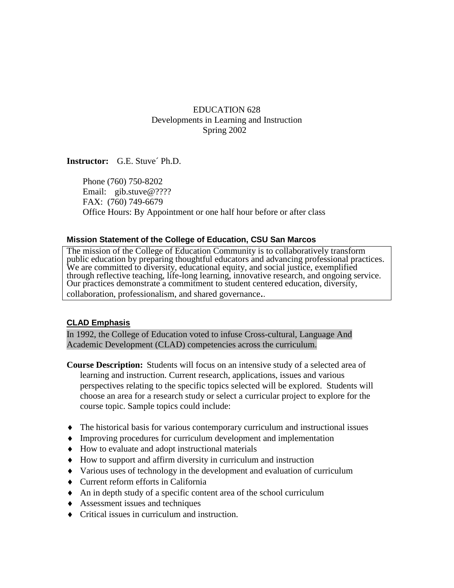## EDUCATION 628 Developments in Learning and Instruction Spring 2002

**Instructor:** G.E. Stuve´ Ph.D.

Phone (760) 750-8202 Email: gib.stuve@???? FAX: (760) 749-6679 Office Hours: By Appointment or one half hour before or after class

#### **Mission Statement of the College of Education, CSU San Marcos**

The mission of the College of Education Community is to collaboratively transform public education by preparing thoughtful educators and advancing professional practices. We are committed to diversity, educational equity, and social justice, exemplified through reflective teaching, life-long learning, innovative research, and ongoing service. Our practices demonstrate a commitment to student centered education, diversity, collaboration, professionalism, and shared governance..

## **CLAD Emphasis**

In 1992, the College of Education voted to infuse Cross-cultural, Language And Academic Development (CLAD) competencies across the curriculum.

- **Course Description:** Students will focus on an intensive study of a selected area of learning and instruction. Current research, applications, issues and various perspectives relating to the specific topics selected will be explored. Students will choose an area for a research study or select a curricular project to explore for the course topic. Sample topics could include:
- ♦ The historical basis for various contemporary curriculum and instructional issues
- ♦ Improving procedures for curriculum development and implementation
- ♦ How to evaluate and adopt instructional materials
- ♦ How to support and affirm diversity in curriculum and instruction
- ♦ Various uses of technology in the development and evaluation of curriculum
- ♦ Current reform efforts in California
- ♦ An in depth study of a specific content area of the school curriculum
- ♦ Assessment issues and techniques
- ♦ Critical issues in curriculum and instruction.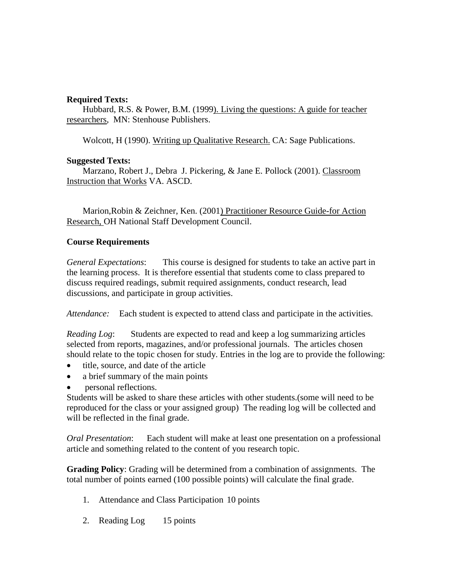#### **Required Texts:**

Hubbard, R.S. & Power, B.M. (1999). Living the questions: A guide for teacher researchers, MN: Stenhouse Publishers.

Wolcott, H (1990). Writing up Qualitative Research. CA: Sage Publications.

### **Suggested Texts:**

Marzano, Robert J., Debra J. Pickering, & Jane E. Pollock (2001). Classroom Instruction that Works VA. ASCD.

Marion, Robin & Zeichner, Ken. (2001) Practitioner Resource Guide-for Action Research, OH National Staff Development Council.

## **Course Requirements**

*General Expectations*: This course is designed for students to take an active part in the learning process. It is therefore essential that students come to class prepared to discuss required readings, submit required assignments, conduct research, lead discussions, and participate in group activities.

*Attendance:* Each student is expected to attend class and participate in the activities.

*Reading Log*: Students are expected to read and keep a log summarizing articles selected from reports, magazines, and/or professional journals. The articles chosen should relate to the topic chosen for study. Entries in the log are to provide the following:

- title, source, and date of the article
- a brief summary of the main points
- personal reflections.

Students will be asked to share these articles with other students.(some will need to be reproduced for the class or your assigned group) The reading log will be collected and will be reflected in the final grade.

*Oral Presentation*: Each student will make at least one presentation on a professional article and something related to the content of you research topic.

**Grading Policy**: Grading will be determined from a combination of assignments. The total number of points earned (100 possible points) will calculate the final grade.

- 1. Attendance and Class Participation 10 points
- 2. Reading Log 15 points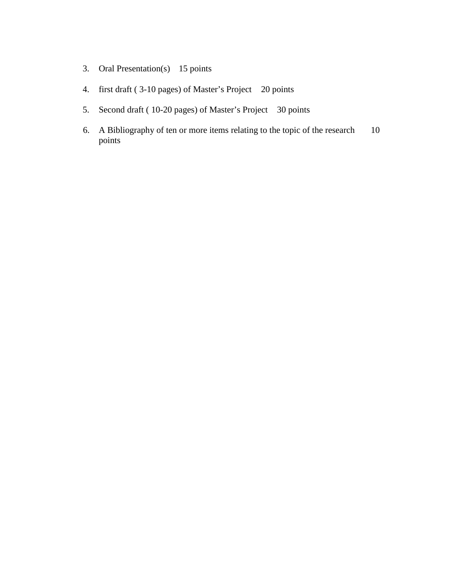- 3. Oral Presentation(s) 15 points
- 4. first draft ( 3-10 pages) of Master's Project 20 points
- 5. Second draft ( 10-20 pages) of Master's Project 30 points
- 6. A Bibliography of ten or more items relating to the topic of the research 10 points